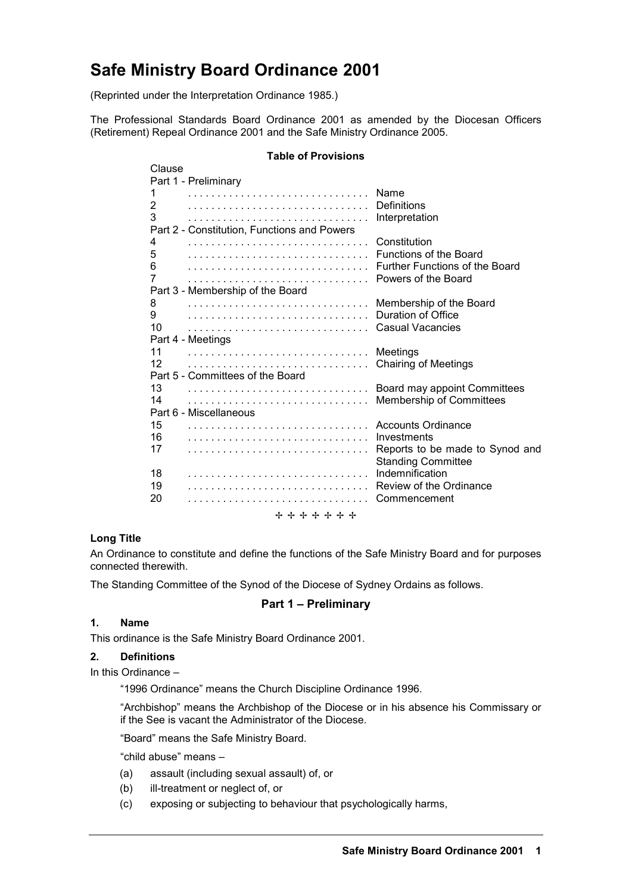# **Safe Ministry Board Ordinance 2001**

(Reprinted under the Interpretation Ordinance 1985.)

The Professional Standards Board Ordinance 2001 as amended by the Diocesan Officers (Retirement) Repeal Ordinance 2001 and the Safe Ministry Ordinance 2005.

#### **Table of Provisions**

| Clause                                      |                                 |
|---------------------------------------------|---------------------------------|
| Part 1 - Preliminary                        |                                 |
| 1                                           | Name                            |
| 2                                           | Definitions                     |
| 3                                           | Interpretation                  |
| Part 2 - Constitution, Functions and Powers |                                 |
| 4                                           | Constitution                    |
| 5                                           | Functions of the Board          |
| 6                                           | Further Functions of the Board  |
| 7                                           | Powers of the Board             |
| Part 3 - Membership of the Board            |                                 |
| 8                                           | Membership of the Board         |
| 9                                           | Duration of Office              |
| 10                                          | Casual Vacancies                |
| Part 4 - Meetings<br>11                     |                                 |
| 12                                          | Meetings                        |
| Part 5 - Committees of the Board            | <b>Chairing of Meetings</b>     |
| 13                                          | Board may appoint Committees    |
| 14                                          | <b>Membership of Committees</b> |
| Part 6 - Miscellaneous                      |                                 |
| 15                                          | Accounts Ordinance              |
| 16                                          | Investments                     |
| 17                                          | Reports to be made to Synod and |
|                                             | <b>Standing Committee</b>       |
| 18                                          | Indemnification                 |
| 19                                          | Review of the Ordinance         |
| 20                                          | Commencement                    |
| + + + + + + +                               |                                 |
|                                             |                                 |

## **Long Title**

An Ordinance to constitute and define the functions of the Safe Ministry Board and for purposes connected therewith.

The Standing Committee of the Synod of the Diocese of Sydney Ordains as follows.

## **Part 1 – Preliminary**

## **1. Name**

This ordinance is the Safe Ministry Board Ordinance 2001.

## **2. Definitions**

In this Ordinance –

"1996 Ordinance" means the Church Discipline Ordinance 1996.

"Archbishop" means the Archbishop of the Diocese or in his absence his Commissary or if the See is vacant the Administrator of the Diocese.

"Board" means the Safe Ministry Board.

"child abuse" means –

- (a) assault (including sexual assault) of, or
- (b) ill-treatment or neglect of, or
- (c) exposing or subjecting to behaviour that psychologically harms,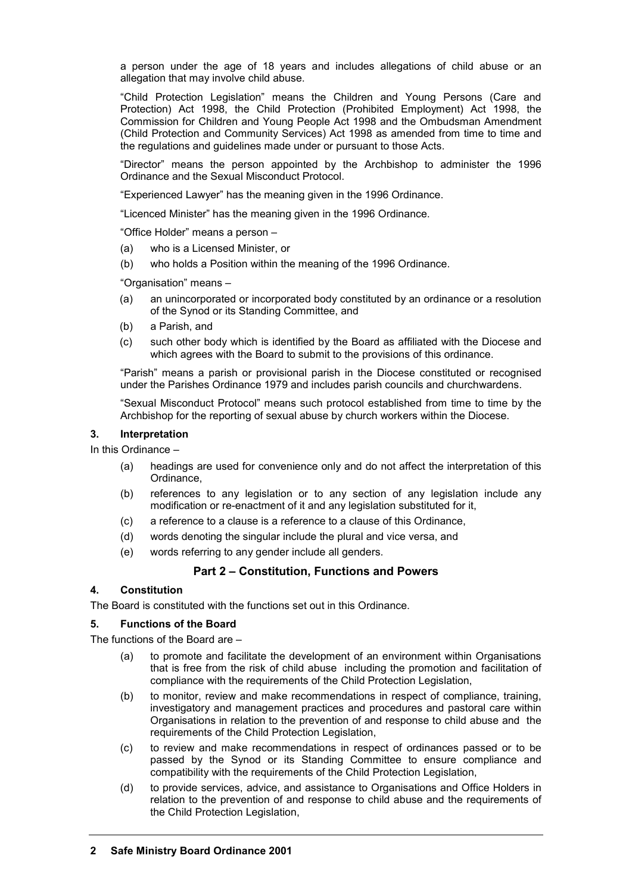a person under the age of 18 years and includes allegations of child abuse or an allegation that may involve child abuse.

"Child Protection Legislation" means the Children and Young Persons (Care and Protection) Act 1998, the Child Protection (Prohibited Employment) Act 1998, the Commission for Children and Young People Act 1998 and the Ombudsman Amendment (Child Protection and Community Services) Act 1998 as amended from time to time and the regulations and guidelines made under or pursuant to those Acts.

"Director" means the person appointed by the Archbishop to administer the 1996 Ordinance and the Sexual Misconduct Protocol.

"Experienced Lawyer" has the meaning given in the 1996 Ordinance.

"Licenced Minister" has the meaning given in the 1996 Ordinance.

"Office Holder" means a person –

- (a) who is a Licensed Minister, or
- (b) who holds a Position within the meaning of the 1996 Ordinance.

"Organisation" means –

- (a) an unincorporated or incorporated body constituted by an ordinance or a resolution of the Synod or its Standing Committee, and
- (b) a Parish, and
- (c) such other body which is identified by the Board as affiliated with the Diocese and which agrees with the Board to submit to the provisions of this ordinance.

"Parish" means a parish or provisional parish in the Diocese constituted or recognised under the Parishes Ordinance 1979 and includes parish councils and churchwardens.

"Sexual Misconduct Protocol" means such protocol established from time to time by the Archbishop for the reporting of sexual abuse by church workers within the Diocese.

#### **3. Interpretation**

In this Ordinance –

- (a) headings are used for convenience only and do not affect the interpretation of this Ordinance,
- (b) references to any legislation or to any section of any legislation include any modification or re-enactment of it and any legislation substituted for it,
- (c) a reference to a clause is a reference to a clause of this Ordinance,
- (d) words denoting the singular include the plural and vice versa, and
- (e) words referring to any gender include all genders.

# **Part 2 – Constitution, Functions and Powers**

#### **4. Constitution**

The Board is constituted with the functions set out in this Ordinance.

## **5. Functions of the Board**

The functions of the Board are –

- (a) to promote and facilitate the development of an environment within Organisations that is free from the risk of child abuse including the promotion and facilitation of compliance with the requirements of the Child Protection Legislation,
- (b) to monitor, review and make recommendations in respect of compliance, training, investigatory and management practices and procedures and pastoral care within Organisations in relation to the prevention of and response to child abuse and the requirements of the Child Protection Legislation,
- (c) to review and make recommendations in respect of ordinances passed or to be passed by the Synod or its Standing Committee to ensure compliance and compatibility with the requirements of the Child Protection Legislation,
- (d) to provide services, advice, and assistance to Organisations and Office Holders in relation to the prevention of and response to child abuse and the requirements of the Child Protection Legislation,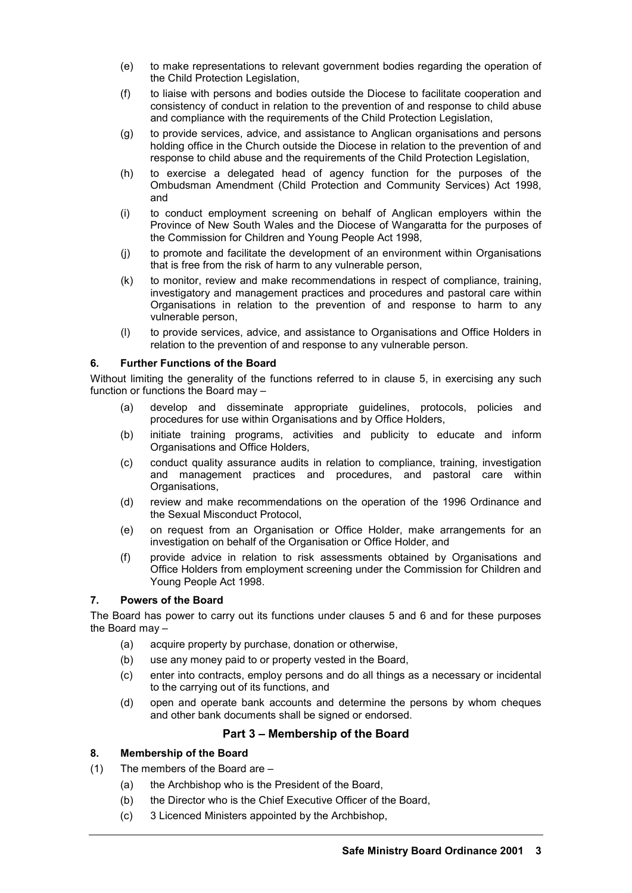- (e) to make representations to relevant government bodies regarding the operation of the Child Protection Legislation,
- (f) to liaise with persons and bodies outside the Diocese to facilitate cooperation and consistency of conduct in relation to the prevention of and response to child abuse and compliance with the requirements of the Child Protection Legislation,
- (g) to provide services, advice, and assistance to Anglican organisations and persons holding office in the Church outside the Diocese in relation to the prevention of and response to child abuse and the requirements of the Child Protection Legislation,
- (h) to exercise a delegated head of agency function for the purposes of the Ombudsman Amendment (Child Protection and Community Services) Act 1998, and
- (i) to conduct employment screening on behalf of Anglican employers within the Province of New South Wales and the Diocese of Wangaratta for the purposes of the Commission for Children and Young People Act 1998,
- (j) to promote and facilitate the development of an environment within Organisations that is free from the risk of harm to any vulnerable person,
- (k) to monitor, review and make recommendations in respect of compliance, training, investigatory and management practices and procedures and pastoral care within Organisations in relation to the prevention of and response to harm to any vulnerable person,
- (l) to provide services, advice, and assistance to Organisations and Office Holders in relation to the prevention of and response to any vulnerable person.

## **6. Further Functions of the Board**

Without limiting the generality of the functions referred to in clause 5, in exercising any such function or functions the Board may –

- (a) develop and disseminate appropriate guidelines, protocols, policies and procedures for use within Organisations and by Office Holders,
- (b) initiate training programs, activities and publicity to educate and inform Organisations and Office Holders,
- (c) conduct quality assurance audits in relation to compliance, training, investigation and management practices and procedures, and pastoral care within Organisations,
- (d) review and make recommendations on the operation of the 1996 Ordinance and the Sexual Misconduct Protocol,
- (e) on request from an Organisation or Office Holder, make arrangements for an investigation on behalf of the Organisation or Office Holder, and
- (f) provide advice in relation to risk assessments obtained by Organisations and Office Holders from employment screening under the Commission for Children and Young People Act 1998.

## **7. Powers of the Board**

The Board has power to carry out its functions under clauses 5 and 6 and for these purposes the Board may –

- (a) acquire property by purchase, donation or otherwise,
- (b) use any money paid to or property vested in the Board,
- (c) enter into contracts, employ persons and do all things as a necessary or incidental to the carrying out of its functions, and
- (d) open and operate bank accounts and determine the persons by whom cheques and other bank documents shall be signed or endorsed.

# **Part 3 – Membership of the Board**

## **8. Membership of the Board**

- (1) The members of the Board are
	- (a) the Archbishop who is the President of the Board,
	- (b) the Director who is the Chief Executive Officer of the Board,
	- (c) 3 Licenced Ministers appointed by the Archbishop,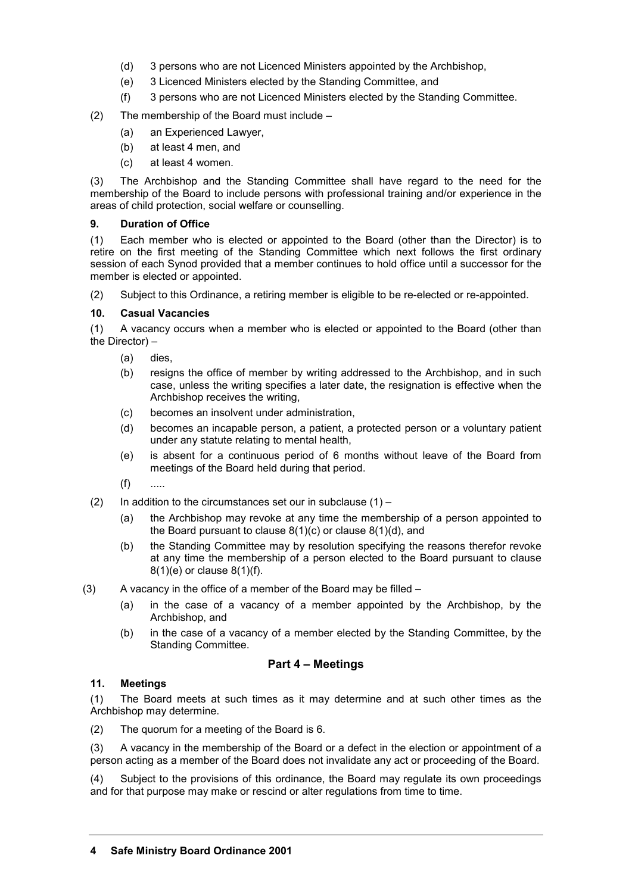- (d) 3 persons who are not Licenced Ministers appointed by the Archbishop,
- (e) 3 Licenced Ministers elected by the Standing Committee, and
- (f) 3 persons who are not Licenced Ministers elected by the Standing Committee.

## (2) The membership of the Board must include –

- (a) an Experienced Lawyer,
- (b) at least 4 men, and
- (c) at least 4 women.

(3) The Archbishop and the Standing Committee shall have regard to the need for the membership of the Board to include persons with professional training and/or experience in the areas of child protection, social welfare or counselling.

## **9. Duration of Office**

(1) Each member who is elected or appointed to the Board (other than the Director) is to retire on the first meeting of the Standing Committee which next follows the first ordinary session of each Synod provided that a member continues to hold office until a successor for the member is elected or appointed.

(2) Subject to this Ordinance, a retiring member is eligible to be re-elected or re-appointed.

## **10. Casual Vacancies**

(1) A vacancy occurs when a member who is elected or appointed to the Board (other than the Director) –

- (a) dies,
- (b) resigns the office of member by writing addressed to the Archbishop, and in such case, unless the writing specifies a later date, the resignation is effective when the Archbishop receives the writing,
- (c) becomes an insolvent under administration,
- (d) becomes an incapable person, a patient, a protected person or a voluntary patient under any statute relating to mental health,
- (e) is absent for a continuous period of 6 months without leave of the Board from meetings of the Board held during that period.
- $(f)$  ....
- (2) In addition to the circumstances set our in subclause  $(1)$ 
	- (a) the Archbishop may revoke at any time the membership of a person appointed to the Board pursuant to clause 8(1)(c) or clause 8(1)(d), and
	- (b) the Standing Committee may by resolution specifying the reasons therefor revoke at any time the membership of a person elected to the Board pursuant to clause 8(1)(e) or clause 8(1)(f).
- $(3)$  A vacancy in the office of a member of the Board may be filled
	- (a) in the case of a vacancy of a member appointed by the Archbishop, by the Archbishop, and
	- (b) in the case of a vacancy of a member elected by the Standing Committee, by the Standing Committee.

## **Part 4 – Meetings**

## **11. Meetings**

(1) The Board meets at such times as it may determine and at such other times as the Archbishop may determine.

(2) The quorum for a meeting of the Board is 6.

(3) A vacancy in the membership of the Board or a defect in the election or appointment of a person acting as a member of the Board does not invalidate any act or proceeding of the Board.

(4) Subject to the provisions of this ordinance, the Board may regulate its own proceedings and for that purpose may make or rescind or alter regulations from time to time.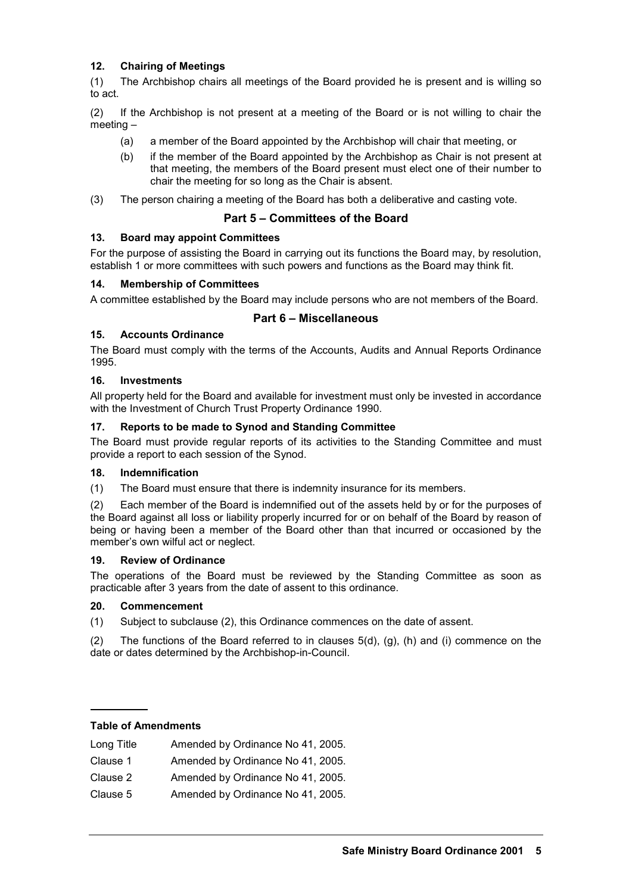# **12. Chairing of Meetings**

(1) The Archbishop chairs all meetings of the Board provided he is present and is willing so to act.

(2) If the Archbishop is not present at a meeting of the Board or is not willing to chair the meeting –

- (a) a member of the Board appointed by the Archbishop will chair that meeting, or
- (b) if the member of the Board appointed by the Archbishop as Chair is not present at that meeting, the members of the Board present must elect one of their number to chair the meeting for so long as the Chair is absent.
- (3) The person chairing a meeting of the Board has both a deliberative and casting vote.

## **Part 5 – Committees of the Board**

## **13. Board may appoint Committees**

For the purpose of assisting the Board in carrying out its functions the Board may, by resolution, establish 1 or more committees with such powers and functions as the Board may think fit.

## **14. Membership of Committees**

A committee established by the Board may include persons who are not members of the Board.

## **Part 6 – Miscellaneous**

## **15. Accounts Ordinance**

The Board must comply with the terms of the Accounts, Audits and Annual Reports Ordinance 1995.

## **16. Investments**

All property held for the Board and available for investment must only be invested in accordance with the Investment of Church Trust Property Ordinance 1990.

#### **17. Reports to be made to Synod and Standing Committee**

The Board must provide regular reports of its activities to the Standing Committee and must provide a report to each session of the Synod.

## **18. Indemnification**

(1) The Board must ensure that there is indemnity insurance for its members.

(2) Each member of the Board is indemnified out of the assets held by or for the purposes of the Board against all loss or liability properly incurred for or on behalf of the Board by reason of being or having been a member of the Board other than that incurred or occasioned by the member's own wilful act or neglect.

## **19. Review of Ordinance**

The operations of the Board must be reviewed by the Standing Committee as soon as practicable after 3 years from the date of assent to this ordinance.

#### **20. Commencement**

(1) Subject to subclause (2), this Ordinance commences on the date of assent.

(2) The functions of the Board referred to in clauses  $5(d)$ , (g), (h) and (i) commence on the date or dates determined by the Archbishop-in-Council.

#### **Table of Amendments**

| Long Title | Amended by Ordinance No 41, 2005. |
|------------|-----------------------------------|
| Clause 1   | Amended by Ordinance No 41, 2005. |
| Clause 2   | Amended by Ordinance No 41, 2005. |
| Clause 5   | Amended by Ordinance No 41, 2005. |